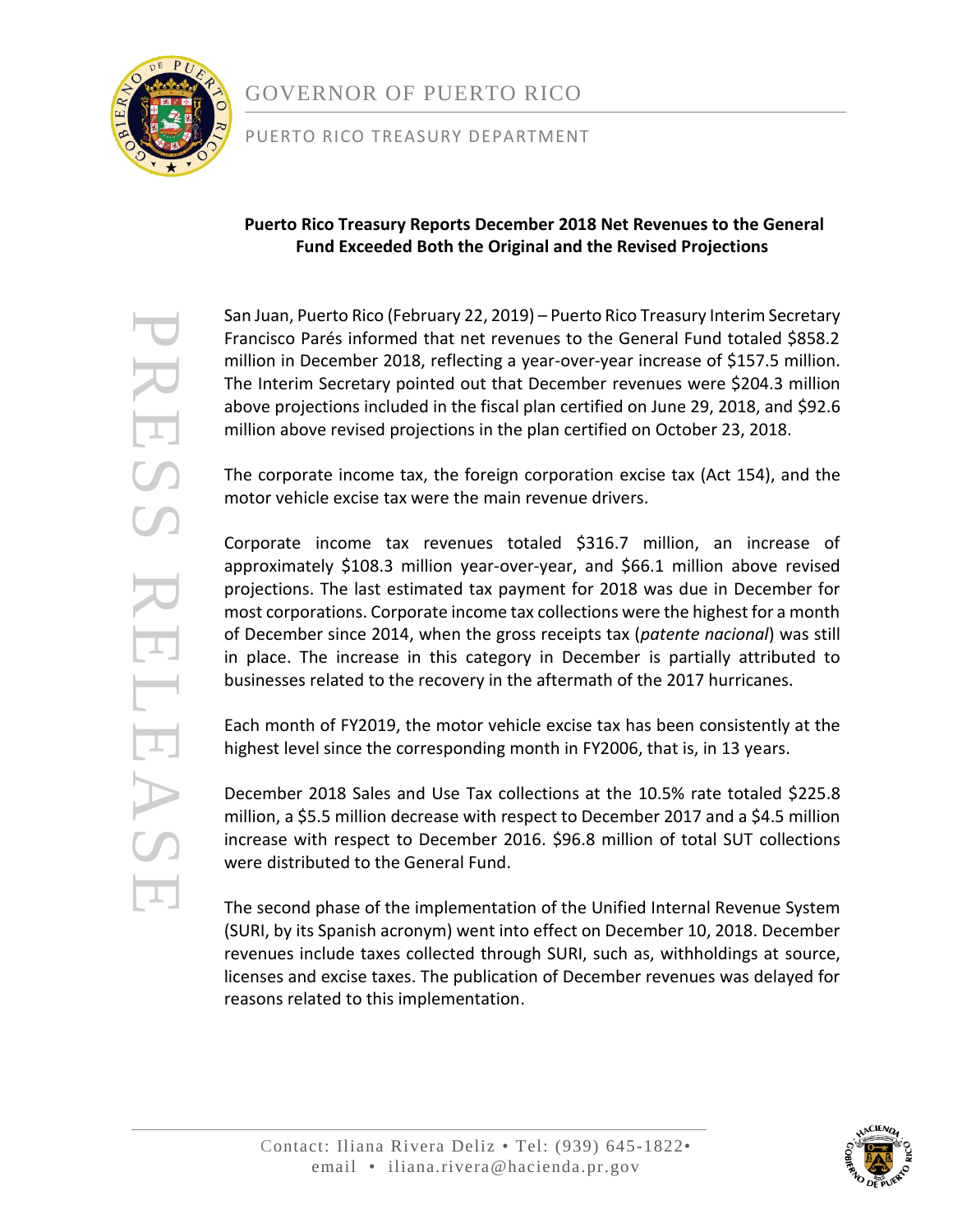

# GOVERNOR OF PUERTO RICO

#### PUERTO RICO TREASURY DEPARTMENT

#### **Puerto Rico Treasury Reports December 2018 Net Revenues to the General Fund Exceeded Both the Original and the Revised Projections**

San Juan, Puerto Rico (February 22, 2019) – Puerto Rico Treasury Interim Secretary Francisco Parés informed that net revenues to the General Fund totaled \$858.2 million in December 2018, reflecting a year-over-year increase of \$157.5 million. The Interim Secretary pointed out that December revenues were \$204.3 million above projections included in the fiscal plan certified on June 29, 2018, and \$92.6 million above revised projections in the plan certified on October 23, 2018.

The corporate income tax, the foreign corporation excise tax (Act 154), and the motor vehicle excise tax were the main revenue drivers.

Corporate income tax revenues totaled \$316.7 million, an increase of approximately \$108.3 million year-over-year, and \$66.1 million above revised projections. The last estimated tax payment for 2018 was due in December for most corporations. Corporate income tax collections were the highest for a month of December since 2014, when the gross receipts tax (*patente nacional*) was still in place. The increase in this category in December is partially attributed to businesses related to the recovery in the aftermath of the 2017 hurricanes.

Each month of FY2019, the motor vehicle excise tax has been consistently at the highest level since the corresponding month in FY2006, that is, in 13 years.

December 2018 Sales and Use Tax collections at the 10.5% rate totaled \$225.8 million, a \$5.5 million decrease with respect to December 2017 and a \$4.5 million increase with respect to December 2016. \$96.8 million of total SUT collections were distributed to the General Fund.

The second phase of the implementation of the Unified Internal Revenue System (SURI, by its Spanish acronym) went into effect on December 10, 2018. December revenues include taxes collected through SURI, such as, withholdings at source, licenses and excise taxes. The publication of December revenues was delayed for reasons related to this implementation.

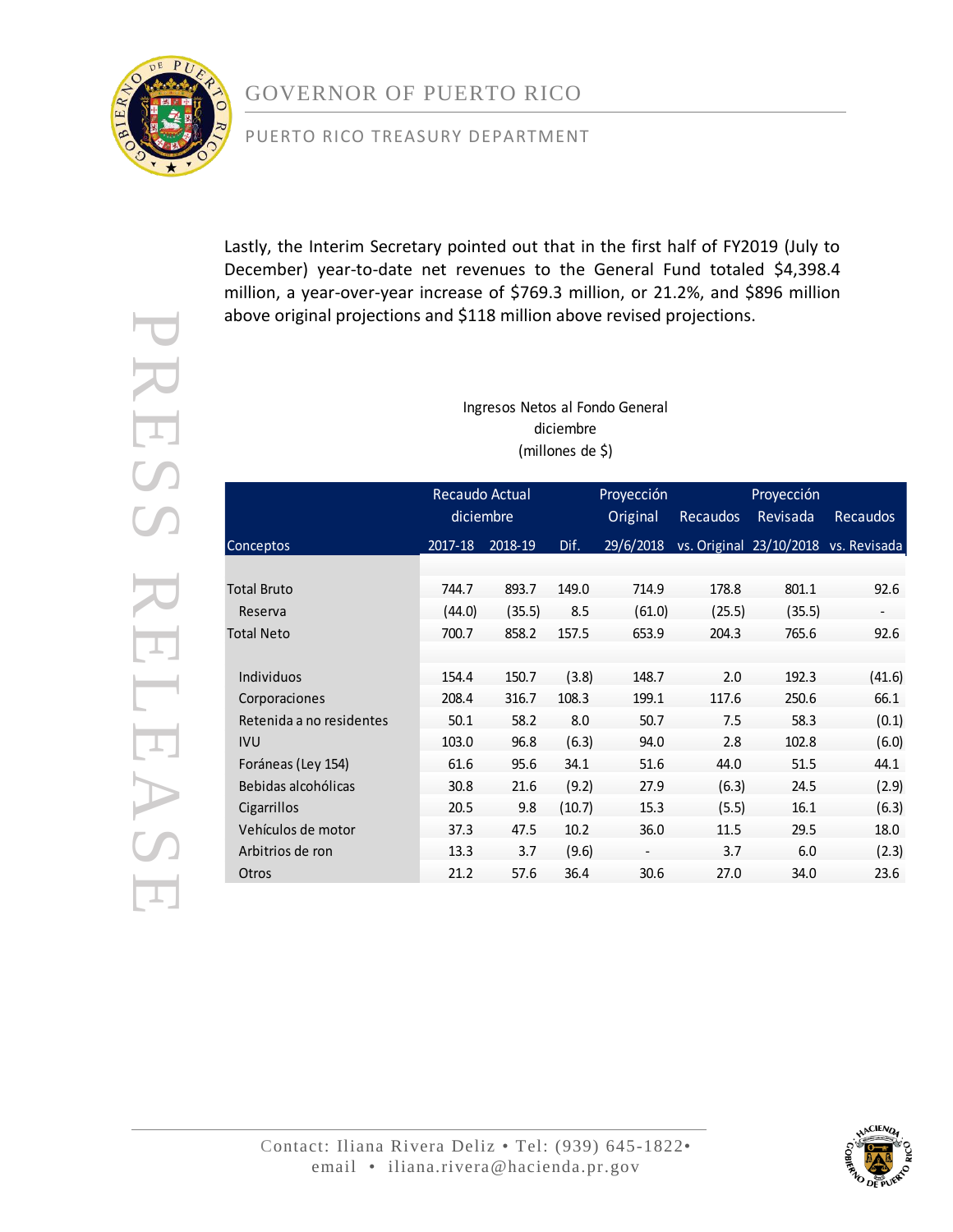

PRESS RELEASE

LEAS

RESS

### PUERTO RICO TREASURY DEPARTMENT

Lastly, the Interim Secretary pointed out that in the first half of FY2019 (July to December) year-to-date net revenues to the General Fund totaled \$4,398.4 million, a year-over-year increase of \$769.3 million, or 21.2%, and \$896 million above original projections and \$118 million above revised projections.

> Ingresos Netos al Fondo General diciembre (millones de \$)

|                          | Recaudo Actual<br>diciembre |         |        | Proyección<br>Original   | <b>Recaudos</b> | Proyección<br>Revisada | <b>Recaudos</b>                      |
|--------------------------|-----------------------------|---------|--------|--------------------------|-----------------|------------------------|--------------------------------------|
| Conceptos                | 2017-18                     | 2018-19 | Dif.   | 29/6/2018                |                 |                        | vs. Original 23/10/2018 vs. Revisada |
|                          |                             |         |        |                          |                 |                        |                                      |
| <b>Total Bruto</b>       | 744.7                       | 893.7   | 149.0  | 714.9                    | 178.8           | 801.1                  | 92.6                                 |
| Reserva                  | (44.0)                      | (35.5)  | 8.5    | (61.0)                   | (25.5)          | (35.5)                 | $\overline{\phantom{0}}$             |
| <b>Total Neto</b>        | 700.7                       | 858.2   | 157.5  | 653.9                    | 204.3           | 765.6                  | 92.6                                 |
|                          |                             |         |        |                          |                 |                        |                                      |
| Individuos               | 154.4                       | 150.7   | (3.8)  | 148.7                    | 2.0             | 192.3                  | (41.6)                               |
| Corporaciones            | 208.4                       | 316.7   | 108.3  | 199.1                    | 117.6           | 250.6                  | 66.1                                 |
| Retenida a no residentes | 50.1                        | 58.2    | 8.0    | 50.7                     | 7.5             | 58.3                   | (0.1)                                |
| <b>IVU</b>               | 103.0                       | 96.8    | (6.3)  | 94.0                     | 2.8             | 102.8                  | (6.0)                                |
| Foráneas (Ley 154)       | 61.6                        | 95.6    | 34.1   | 51.6                     | 44.0            | 51.5                   | 44.1                                 |
| Bebidas alcohólicas      | 30.8                        | 21.6    | (9.2)  | 27.9                     | (6.3)           | 24.5                   | (2.9)                                |
| Cigarrillos              | 20.5                        | 9.8     | (10.7) | 15.3                     | (5.5)           | 16.1                   | (6.3)                                |
| Vehículos de motor       | 37.3                        | 47.5    | 10.2   | 36.0                     | 11.5            | 29.5                   | 18.0                                 |
| Arbitrios de ron         | 13.3                        | 3.7     | (9.6)  | $\overline{\phantom{a}}$ | 3.7             | 6.0                    | (2.3)                                |
| Otros                    | 21.2                        | 57.6    | 36.4   | 30.6                     | 27.0            | 34.0                   | 23.6                                 |